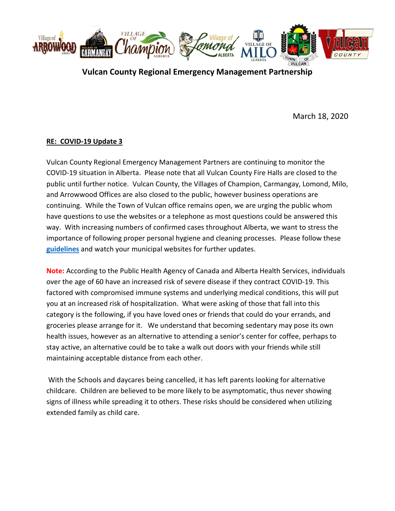

**Vulcan County Regional Emergency Management Partnership** 

March 18, 2020

## **RE: COVID-19 Update 3**

Vulcan County Regional Emergency Management Partners are continuing to monitor the COVID-19 situation in Alberta. Please note that all Vulcan County Fire Halls are closed to the public until further notice. Vulcan County, the Villages of Champion, Carmangay, Lomond, Milo, and Arrowwood Offices are also closed to the public, however business operations are continuing. While the Town of Vulcan office remains open, we are urging the public whom have questions to use the websites or a telephone as most questions could be answered this way. With increasing numbers of confirmed cases throughout Alberta, we want to stress the importance of following proper personal hygiene and cleaning processes. Please follow these **[guidelines](https://www.albertahealthservices.ca/topics/Page16997.aspx#sign)** and watch your municipal websites for further updates.

**Note:** According to the Public Health Agency of Canada and Alberta Health Services, individuals over the age of 60 have an increased risk of severe disease if they contract COVID-19. This factored with compromised immune systems and underlying medical conditions, this will put you at an increased risk of hospitalization. What were asking of those that fall into this category is the following, if you have loved ones or friends that could do your errands, and groceries please arrange for it. We understand that becoming sedentary may pose its own health issues, however as an alternative to attending a senior's center for coffee, perhaps to stay active, an alternative could be to take a walk out doors with your friends while still maintaining acceptable distance from each other.

With the Schools and daycares being cancelled, it has left parents looking for alternative childcare. Children are believed to be more likely to be asymptomatic, thus never showing signs of illness while spreading it to others. These risks should be considered when utilizing extended family as child care.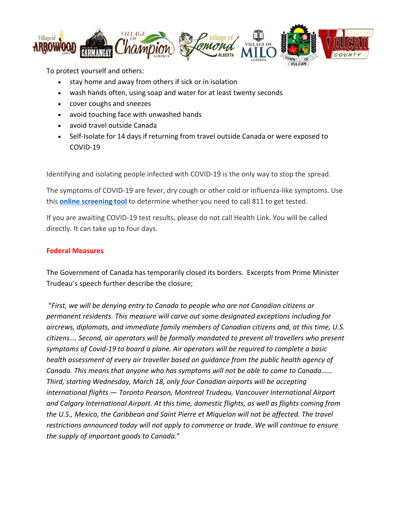

To protect yourself and others:

- stay home and away from others if sick or in isolation
- wash hands often, using soap and water for at least twenty seconds
- cover coughs and sneezes
- avoid touching face with unwashed hands
- avoid travel outside Canada
- Self-Isolate for 14 days if returning from travel outside Canada or were exposed to COVID-19

Identifying and isolating people infected with COVID-19 is the only way to stop the spread.

The symptoms of COVID-19 are fever, dry cough or other cold or influenza-like symptoms. Use this **[online screening tool](https://myhealth.alberta.ca/Journey/COVID-19/Pages/COVID-Self-Assessment.aspx)** to determine whether you need to call 811 to get tested.

If you are awaiting COVID-19 test results, please do not call Health Link. You will be called directly. It can take up to four days.

## **Federal Measures**

The Government of Canada has temporarily closed its borders. Excerpts from Prime Minister Trudeau's speech further describe the closure;

"*First, we will be denying entry to Canada to people who are not Canadian citizens or permanent residents. This measure will carve out some designated exceptions including for aircrews, diplomats, and immediate family members of Canadian citizens and, at this time, U.S. citizens…. Second, air operators will be formally mandated to prevent all travellers who present symptoms of Covid-19 to board a plane. Air operators will be required to complete a basic health assessment of every air traveller based on guidance from the public health agency of Canada. This means that anyone who has symptoms will not be able to come to Canada…… Third, starting Wednesday, March 18, only four Canadian airports will be accepting international flights — Toronto Pearson, Montreal Trudeau, Vancouver International Airport and Calgary International Airport. At this time, domestic flights, as well as flights coming from the U.S., Mexico, the Caribbean and Saint Pierre et Miquelon will not be affected. The travel restrictions announced today will not apply to commerce or trade. We will continue to ensure the supply of important goods to Canada*."